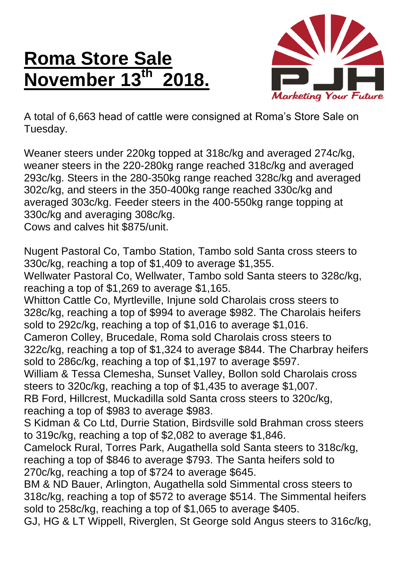## **Roma Store Sale November 13th 2018.**



A total of 6,663 head of cattle were consigned at Roma's Store Sale on Tuesday.

Weaner steers under 220kg topped at 318c/kg and averaged 274c/kg, weaner steers in the 220-280kg range reached 318c/kg and averaged 293c/kg. Steers in the 280-350kg range reached 328c/kg and averaged 302c/kg, and steers in the 350-400kg range reached 330c/kg and averaged 303c/kg. Feeder steers in the 400-550kg range topping at 330c/kg and averaging 308c/kg.

Cows and calves hit \$875/unit.

Nugent Pastoral Co, Tambo Station, Tambo sold Santa cross steers to 330c/kg, reaching a top of \$1,409 to average \$1,355.

Wellwater Pastoral Co, Wellwater, Tambo sold Santa steers to 328c/kg, reaching a top of \$1,269 to average \$1,165.

Whitton Cattle Co, Myrtleville, Injune sold Charolais cross steers to 328c/kg, reaching a top of \$994 to average \$982. The Charolais heifers sold to 292c/kg, reaching a top of \$1,016 to average \$1,016.

Cameron Colley, Brucedale, Roma sold Charolais cross steers to 322c/kg, reaching a top of \$1,324 to average \$844. The Charbray heifers sold to 286c/kg, reaching a top of \$1,197 to average \$597.

William & Tessa Clemesha, Sunset Valley, Bollon sold Charolais cross steers to 320c/kg, reaching a top of \$1,435 to average \$1,007.

RB Ford, Hillcrest, Muckadilla sold Santa cross steers to 320c/kg, reaching a top of \$983 to average \$983.

S Kidman & Co Ltd, Durrie Station, Birdsville sold Brahman cross steers to 319c/kg, reaching a top of \$2,082 to average \$1,846.

Camelock Rural, Torres Park, Augathella sold Santa steers to 318c/kg, reaching a top of \$846 to average \$793. The Santa heifers sold to 270c/kg, reaching a top of \$724 to average \$645.

BM & ND Bauer, Arlington, Augathella sold Simmental cross steers to 318c/kg, reaching a top of \$572 to average \$514. The Simmental heifers sold to 258c/kg, reaching a top of \$1,065 to average \$405.

GJ, HG & LT Wippell, Riverglen, St George sold Angus steers to 316c/kg,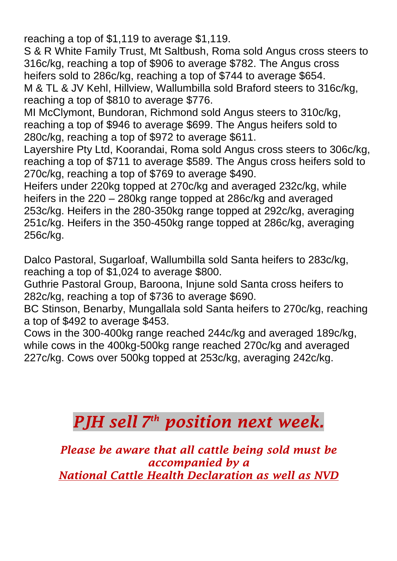reaching a top of \$1,119 to average \$1,119.

S & R White Family Trust, Mt Saltbush, Roma sold Angus cross steers to 316c/kg, reaching a top of \$906 to average \$782. The Angus cross heifers sold to 286c/kg, reaching a top of \$744 to average \$654. M & TL & JV Kehl, Hillview, Wallumbilla sold Braford steers to 316c/kg, reaching a top of \$810 to average \$776.

MI McClymont, Bundoran, Richmond sold Angus steers to 310c/kg, reaching a top of \$946 to average \$699. The Angus heifers sold to 280c/kg, reaching a top of \$972 to average \$611.

Layershire Pty Ltd, Koorandai, Roma sold Angus cross steers to 306c/kg, reaching a top of \$711 to average \$589. The Angus cross heifers sold to 270c/kg, reaching a top of \$769 to average \$490.

Heifers under 220kg topped at 270c/kg and averaged 232c/kg, while heifers in the 220 – 280kg range topped at 286c/kg and averaged 253c/kg. Heifers in the 280-350kg range topped at 292c/kg, averaging 251c/kg. Heifers in the 350-450kg range topped at 286c/kg, averaging 256c/kg.

Dalco Pastoral, Sugarloaf, Wallumbilla sold Santa heifers to 283c/kg, reaching a top of \$1,024 to average \$800.

Guthrie Pastoral Group, Baroona, Injune sold Santa cross heifers to 282c/kg, reaching a top of \$736 to average \$690.

BC Stinson, Benarby, Mungallala sold Santa heifers to 270c/kg, reaching a top of \$492 to average \$453.

Cows in the 300-400kg range reached 244c/kg and averaged 189c/kg, while cows in the 400kg-500kg range reached 270c/kg and averaged 227c/kg. Cows over 500kg topped at 253c/kg, averaging 242c/kg.

## *PJH sell 7 th position next week.*

*Please be aware that all cattle being sold must be accompanied by a National Cattle Health Declaration as well as NVD*